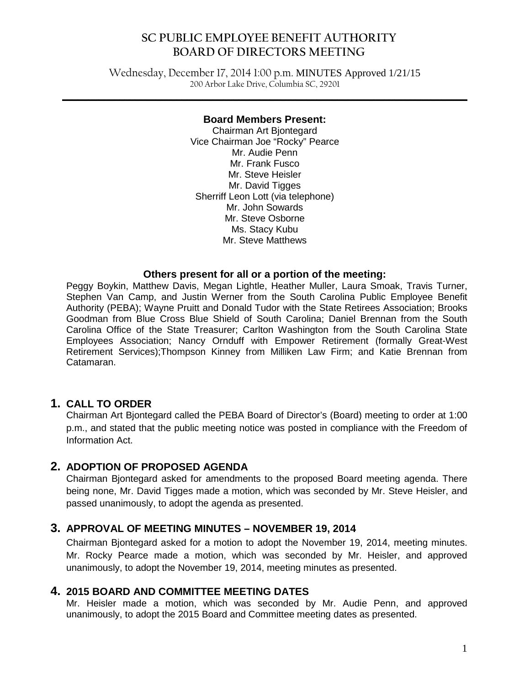Wednesday, December 17, 2014 1:00 p.m. MINUTES Approved 1/21/15 200 Arbor Lake Drive, Columbia SC, 29201

**\_\_\_\_\_\_\_\_\_\_\_\_\_\_\_\_\_\_\_\_\_\_\_\_\_\_\_\_\_\_\_\_\_\_\_\_\_\_\_\_\_\_\_\_\_\_\_\_\_\_\_\_\_\_\_\_\_\_\_\_\_\_\_\_\_\_\_\_\_\_\_\_\_\_\_\_\_\_**

#### **Board Members Present:**

Chairman Art Bjontegard Vice Chairman Joe "Rocky" Pearce Mr. Audie Penn Mr. Frank Fusco Mr. Steve Heisler Mr. David Tigges Sherriff Leon Lott (via telephone) Mr. John Sowards Mr. Steve Osborne Ms. Stacy Kubu Mr. Steve Matthews

#### **Others present for all or a portion of the meeting:**

Peggy Boykin, Matthew Davis, Megan Lightle, Heather Muller, Laura Smoak, Travis Turner, Stephen Van Camp, and Justin Werner from the South Carolina Public Employee Benefit Authority (PEBA); Wayne Pruitt and Donald Tudor with the State Retirees Association; Brooks Goodman from Blue Cross Blue Shield of South Carolina; Daniel Brennan from the South Carolina Office of the State Treasurer; Carlton Washington from the South Carolina State Employees Association; Nancy Ornduff with Empower Retirement (formally Great-West Retirement Services);Thompson Kinney from Milliken Law Firm; and Katie Brennan from Catamaran.

## **1. CALL TO ORDER**

Chairman Art Bjontegard called the PEBA Board of Director's (Board) meeting to order at 1:00 p.m., and stated that the public meeting notice was posted in compliance with the Freedom of Information Act.

## **2. ADOPTION OF PROPOSED AGENDA**

Chairman Bjontegard asked for amendments to the proposed Board meeting agenda. There being none, Mr. David Tigges made a motion, which was seconded by Mr. Steve Heisler, and passed unanimously, to adopt the agenda as presented.

## **3. APPROVAL OF MEETING MINUTES – NOVEMBER 19, 2014**

Chairman Bjontegard asked for a motion to adopt the November 19, 2014, meeting minutes. Mr. Rocky Pearce made a motion, which was seconded by Mr. Heisler, and approved unanimously, to adopt the November 19, 2014, meeting minutes as presented.

#### **4. 2015 BOARD AND COMMITTEE MEETING DATES**

Mr. Heisler made a motion, which was seconded by Mr. Audie Penn, and approved unanimously, to adopt the 2015 Board and Committee meeting dates as presented.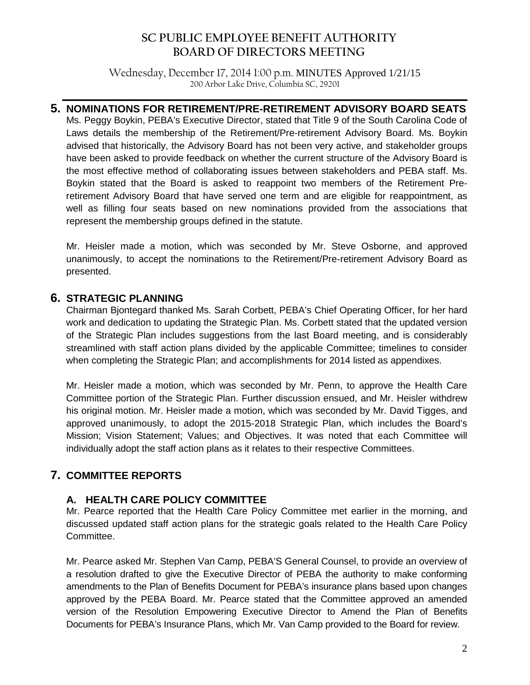Wednesday, December 17, 2014 1:00 p.m. MINUTES Approved 1/21/15 200 Arbor Lake Drive, Columbia SC, 29201

**\_\_\_\_\_\_\_\_\_\_\_\_\_\_\_\_\_\_\_\_\_\_\_\_\_\_\_\_\_\_\_\_\_\_\_\_\_\_\_\_\_\_\_\_\_\_\_\_\_\_\_\_\_\_\_\_\_\_\_\_\_\_\_\_\_\_\_\_\_\_\_\_\_\_\_\_\_\_**

## **5. NOMINATIONS FOR RETIREMENT/PRE-RETIREMENT ADVISORY BOARD SEATS**

Ms. Peggy Boykin, PEBA's Executive Director, stated that Title 9 of the South Carolina Code of Laws details the membership of the Retirement/Pre-retirement Advisory Board. Ms. Boykin advised that historically, the Advisory Board has not been very active, and stakeholder groups have been asked to provide feedback on whether the current structure of the Advisory Board is the most effective method of collaborating issues between stakeholders and PEBA staff. Ms. Boykin stated that the Board is asked to reappoint two members of the Retirement Preretirement Advisory Board that have served one term and are eligible for reappointment, as well as filling four seats based on new nominations provided from the associations that represent the membership groups defined in the statute.

Mr. Heisler made a motion, which was seconded by Mr. Steve Osborne, and approved unanimously, to accept the nominations to the Retirement/Pre-retirement Advisory Board as presented.

## **6. STRATEGIC PLANNING**

Chairman Bjontegard thanked Ms. Sarah Corbett, PEBA's Chief Operating Officer, for her hard work and dedication to updating the Strategic Plan. Ms. Corbett stated that the updated version of the Strategic Plan includes suggestions from the last Board meeting, and is considerably streamlined with staff action plans divided by the applicable Committee; timelines to consider when completing the Strategic Plan; and accomplishments for 2014 listed as appendixes.

Mr. Heisler made a motion, which was seconded by Mr. Penn, to approve the Health Care Committee portion of the Strategic Plan. Further discussion ensued, and Mr. Heisler withdrew his original motion. Mr. Heisler made a motion, which was seconded by Mr. David Tigges, and approved unanimously, to adopt the 2015-2018 Strategic Plan, which includes the Board's Mission; Vision Statement; Values; and Objectives. It was noted that each Committee will individually adopt the staff action plans as it relates to their respective Committees.

## **7. COMMITTEE REPORTS**

## **A. HEALTH CARE POLICY COMMITTEE**

Mr. Pearce reported that the Health Care Policy Committee met earlier in the morning, and discussed updated staff action plans for the strategic goals related to the Health Care Policy Committee.

Mr. Pearce asked Mr. Stephen Van Camp, PEBA'S General Counsel, to provide an overview of a resolution drafted to give the Executive Director of PEBA the authority to make conforming amendments to the Plan of Benefits Document for PEBA's insurance plans based upon changes approved by the PEBA Board. Mr. Pearce stated that the Committee approved an amended version of the Resolution Empowering Executive Director to Amend the Plan of Benefits Documents for PEBA's Insurance Plans, which Mr. Van Camp provided to the Board for review.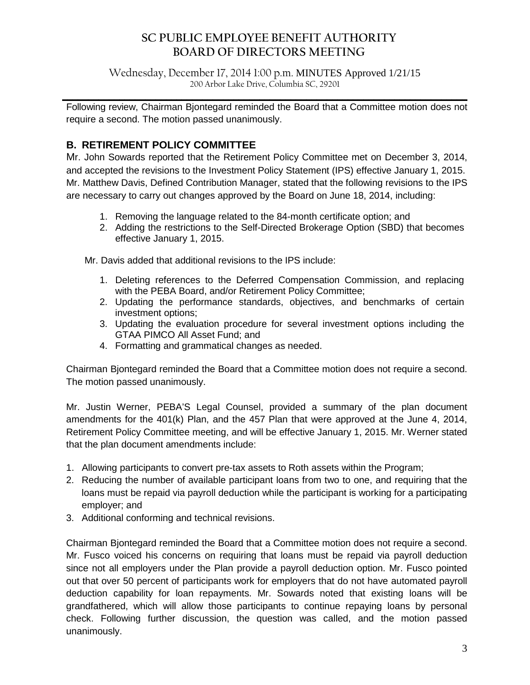Wednesday, December 17, 2014 1:00 p.m. MINUTES Approved 1/21/15 200 Arbor Lake Drive, Columbia SC, 29201

**\_\_\_\_\_\_\_\_\_\_\_\_\_\_\_\_\_\_\_\_\_\_\_\_\_\_\_\_\_\_\_\_\_\_\_\_\_\_\_\_\_\_\_\_\_\_\_\_\_\_\_\_\_\_\_\_\_\_\_\_\_\_\_\_\_\_\_\_\_\_\_\_\_\_\_\_\_\_** Following review, Chairman Bjontegard reminded the Board that a Committee motion does not require a second. The motion passed unanimously.

## **B. RETIREMENT POLICY COMMITTEE**

Mr. John Sowards reported that the Retirement Policy Committee met on December 3, 2014, and accepted the revisions to the Investment Policy Statement (IPS) effective January 1, 2015. Mr. Matthew Davis, Defined Contribution Manager, stated that the following revisions to the IPS are necessary to carry out changes approved by the Board on June 18, 2014, including:

- 1. Removing the language related to the 84-month certificate option; and
- 2. Adding the restrictions to the Self-Directed Brokerage Option (SBD) that becomes effective January 1, 2015.

Mr. Davis added that additional revisions to the IPS include:

- 1. Deleting references to the Deferred Compensation Commission, and replacing with the PEBA Board, and/or Retirement Policy Committee;
- 2. Updating the performance standards, objectives, and benchmarks of certain investment options;
- 3. Updating the evaluation procedure for several investment options including the GTAA PIMCO All Asset Fund; and
- 4. Formatting and grammatical changes as needed.

Chairman Bjontegard reminded the Board that a Committee motion does not require a second. The motion passed unanimously.

Mr. Justin Werner, PEBA'S Legal Counsel, provided a summary of the plan document amendments for the 401(k) Plan, and the 457 Plan that were approved at the June 4, 2014, Retirement Policy Committee meeting, and will be effective January 1, 2015. Mr. Werner stated that the plan document amendments include:

- 1. Allowing participants to convert pre-tax assets to Roth assets within the Program;
- 2. Reducing the number of available participant loans from two to one, and requiring that the loans must be repaid via payroll deduction while the participant is working for a participating employer; and
- 3. Additional conforming and technical revisions.

Chairman Bjontegard reminded the Board that a Committee motion does not require a second. Mr. Fusco voiced his concerns on requiring that loans must be repaid via payroll deduction since not all employers under the Plan provide a payroll deduction option. Mr. Fusco pointed out that over 50 percent of participants work for employers that do not have automated payroll deduction capability for loan repayments. Mr. Sowards noted that existing loans will be grandfathered, which will allow those participants to continue repaying loans by personal check. Following further discussion, the question was called, and the motion passed unanimously.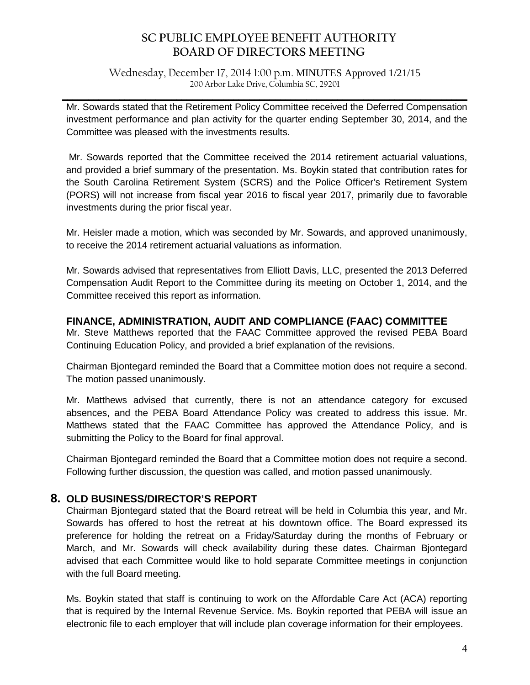Wednesday, December 17, 2014 1:00 p.m. MINUTES Approved 1/21/15 200 Arbor Lake Drive, Columbia SC, 29201

**\_\_\_\_\_\_\_\_\_\_\_\_\_\_\_\_\_\_\_\_\_\_\_\_\_\_\_\_\_\_\_\_\_\_\_\_\_\_\_\_\_\_\_\_\_\_\_\_\_\_\_\_\_\_\_\_\_\_\_\_\_\_\_\_\_\_\_\_\_\_\_\_\_\_\_\_\_\_** Mr. Sowards stated that the Retirement Policy Committee received the Deferred Compensation investment performance and plan activity for the quarter ending September 30, 2014, and the Committee was pleased with the investments results.

Mr. Sowards reported that the Committee received the 2014 retirement actuarial valuations, and provided a brief summary of the presentation. Ms. Boykin stated that contribution rates for the South Carolina Retirement System (SCRS) and the Police Officer's Retirement System (PORS) will not increase from fiscal year 2016 to fiscal year 2017, primarily due to favorable investments during the prior fiscal year.

Mr. Heisler made a motion, which was seconded by Mr. Sowards, and approved unanimously, to receive the 2014 retirement actuarial valuations as information.

Mr. Sowards advised that representatives from Elliott Davis, LLC, presented the 2013 Deferred Compensation Audit Report to the Committee during its meeting on October 1, 2014, and the Committee received this report as information.

## **FINANCE, ADMINISTRATION, AUDIT AND COMPLIANCE (FAAC) COMMITTEE**

Mr. Steve Matthews reported that the FAAC Committee approved the revised PEBA Board Continuing Education Policy, and provided a brief explanation of the revisions.

Chairman Bjontegard reminded the Board that a Committee motion does not require a second. The motion passed unanimously.

Mr. Matthews advised that currently, there is not an attendance category for excused absences, and the PEBA Board Attendance Policy was created to address this issue. Mr. Matthews stated that the FAAC Committee has approved the Attendance Policy, and is submitting the Policy to the Board for final approval.

Chairman Bjontegard reminded the Board that a Committee motion does not require a second. Following further discussion, the question was called, and motion passed unanimously.

## **8. OLD BUSINESS/DIRECTOR'S REPORT**

Chairman Bjontegard stated that the Board retreat will be held in Columbia this year, and Mr. Sowards has offered to host the retreat at his downtown office. The Board expressed its preference for holding the retreat on a Friday/Saturday during the months of February or March, and Mr. Sowards will check availability during these dates. Chairman Bjontegard advised that each Committee would like to hold separate Committee meetings in conjunction with the full Board meeting.

Ms. Boykin stated that staff is continuing to work on the Affordable Care Act (ACA) reporting that is required by the Internal Revenue Service. Ms. Boykin reported that PEBA will issue an electronic file to each employer that will include plan coverage information for their employees.